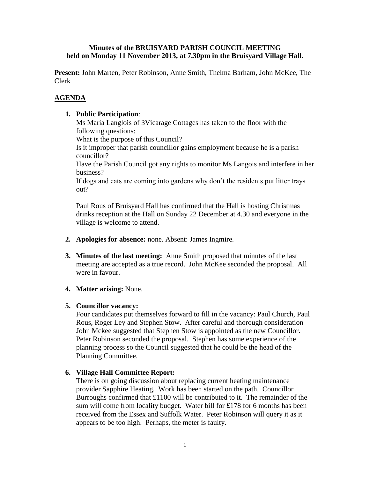## **Minutes of the BRUISYARD PARISH COUNCIL MEETING held on Monday 11 November 2013, at 7.30pm in the Bruisyard Village Hall**.

**Present:** John Marten, Peter Robinson, Anne Smith, Thelma Barham, John McKee, The Clerk

# **AGENDA**

## **1. Public Participation**:

Ms Maria Langlois of 3Vicarage Cottages has taken to the floor with the following questions:

What is the purpose of this Council?

Is it improper that parish councillor gains employment because he is a parish councillor?

Have the Parish Council got any rights to monitor Ms Langois and interfere in her business?

If dogs and cats are coming into gardens why don't the residents put litter trays out?

Paul Rous of Bruisyard Hall has confirmed that the Hall is hosting Christmas drinks reception at the Hall on Sunday 22 December at 4.30 and everyone in the village is welcome to attend.

- **2. Apologies for absence:** none. Absent: James Ingmire.
- **3. Minutes of the last meeting:** Anne Smith proposed that minutes of the last meeting are accepted as a true record. John McKee seconded the proposal. All were in favour.
- **4. Matter arising:** None.

### **5. Councillor vacancy:**

Four candidates put themselves forward to fill in the vacancy: Paul Church, Paul Rous, Roger Ley and Stephen Stow. After careful and thorough consideration John Mckee suggested that Stephen Stow is appointed as the new Councillor. Peter Robinson seconded the proposal. Stephen has some experience of the planning process so the Council suggested that he could be the head of the Planning Committee.

## **6. Village Hall Committee Report:**

There is on going discussion about replacing current heating maintenance provider Sapphire Heating. Work has been started on the path. Councillor Burroughs confirmed that £1100 will be contributed to it. The remainder of the sum will come from locality budget. Water bill for £178 for 6 months has been received from the Essex and Suffolk Water. Peter Robinson will query it as it appears to be too high. Perhaps, the meter is faulty.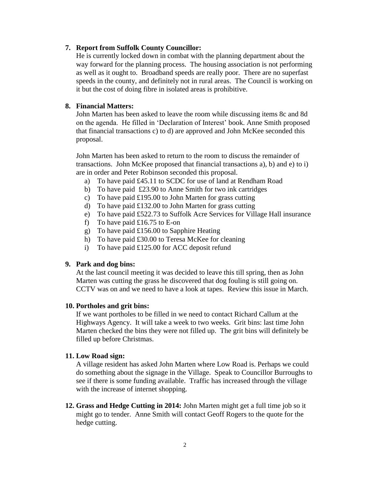### **7. Report from Suffolk County Councillor:**

He is currently locked down in combat with the planning department about the way forward for the planning process. The housing association is not performing as well as it ought to. Broadband speeds are really poor. There are no superfast speeds in the county, and definitely not in rural areas. The Council is working on it but the cost of doing fibre in isolated areas is prohibitive.

## **8. Financial Matters:**

John Marten has been asked to leave the room while discussing items 8c and 8d on the agenda. He filled in 'Declaration of Interest' book. Anne Smith proposed that financial transactions c) to d) are approved and John McKee seconded this proposal.

John Marten has been asked to return to the room to discuss the remainder of transactions. John McKee proposed that financial transactions a), b) and e) to i) are in order and Peter Robinson seconded this proposal.

- a) To have paid £45.11 to SCDC for use of land at Rendham Road
- b) To have paid £23.90 to Anne Smith for two ink cartridges
- c) To have paid £195.00 to John Marten for grass cutting
- d) To have paid £132.00 to John Marten for grass cutting
- e) To have paid £522.73 to Suffolk Acre Services for Village Hall insurance
- f) To have paid £16.75 to E-on
- g) To have paid £156.00 to Sapphire Heating
- h) To have paid £30.00 to Teresa McKee for cleaning
- i) To have paid £125.00 for ACC deposit refund

#### **9. Park and dog bins:**

At the last council meeting it was decided to leave this till spring, then as John Marten was cutting the grass he discovered that dog fouling is still going on. CCTV was on and we need to have a look at tapes. Review this issue in March.

#### **10. Portholes and grit bins:**

If we want portholes to be filled in we need to contact Richard Callum at the Highways Agency. It will take a week to two weeks. Grit bins: last time John Marten checked the bins they were not filled up. The grit bins will definitely be filled up before Christmas.

#### **11. Low Road sign:**

A village resident has asked John Marten where Low Road is. Perhaps we could do something about the signage in the Village. Speak to Councillor Burroughs to see if there is some funding available. Traffic has increased through the village with the increase of internet shopping.

**12. Grass and Hedge Cutting in 2014:** John Marten might get a full time job so it might go to tender. Anne Smith will contact Geoff Rogers to the quote for the hedge cutting.